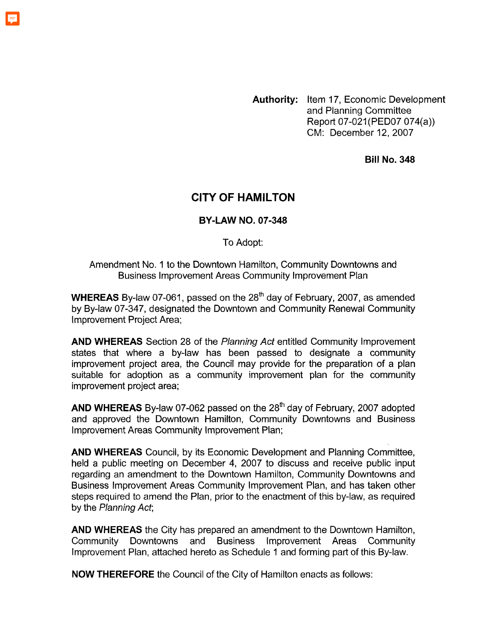**Authority:** Item 17, Economic Development and Planning Committee Report 07-021 (PED07 074(a)) CM: December 12.2007

**Bill No. 348** 

# **CITY OF HAMILTON**

#### **BY-LAW NO. 07-348**

To Adopt:

Amendment No. 1 to the Downtown Hamilton, Community Downtowns and Business Improvement Areas Community Improvement Plan

**WHEREAS** By-law 07-061, passed on the 28<sup>th</sup> day of February, 2007, as amended by By-law 07-347, designated the Downtown and Community Renewal Community Improvement Project Area;

**AND WHEREAS** Section 28 of the *Planning Act* entitled Community Improvement states that where a by-law has been passed to designate a community improvement project area, the Council may provide for the preparation of a plan suitable for adoption as a community improvement plan for the community improvement project area;

**AND WHEREAS** By-law 07-062 passed on the 28'h day of February, 2007 adopted and approved the Downtown Hamilton, Community Downtowns and Business Improvement Areas Community Improvement Plan;

**AND WHEREAS** Council, by its Economic Development and Planning Committee, held a public meeting on December 4, 2007 to discuss and receive public input regarding an amendment to the Downtown Hamilton, Community Downtowns and Business Improvement Areas Community Improvement Plan, and has taken other steps required to amend the Plan, prior to the enactment of this by-law, as required by the *Planning Act;* 

**AND WHEREAS** the City has prepared an amendment to the Downtown Hamilton, Community Downtowns and Business Improvement Areas Community Improvement Plan, attached hereto as Schedule 1 and forming part of this By-law.

**NOW THEREFORE** the Council of the City of Hamilton enacts as follows: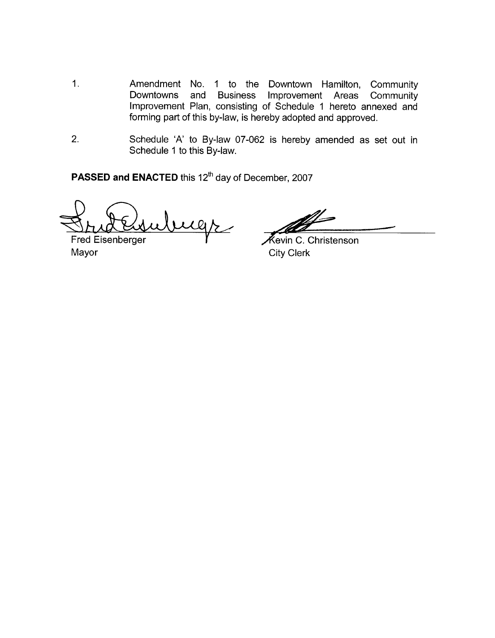- 1. Amendment No. 1 to the Downtown Hamilton, Community<br>Downtowns and Business Improvement Areas Community Improvement Areas Improvement Plan, consisting of Schedule 1 hereto annexed and forming part of this by-law, is hereby adopted and approved.
- 2. Schedule 'A' to By-law 07-062 is hereby amended as set out in Schedule 1 to this By-law.

**PASSED and ENACTED** this 12'h day of December, 2007

ugs

Fred Eisenberger<br>Mayor

Kevin C. Christenson **City Clerk**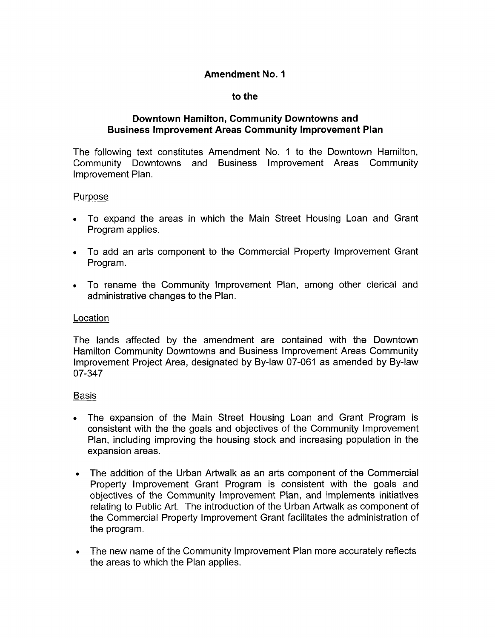## **Amendment No. 1**

### **to the**

## **Downtown Hamilton, Community Downtowns and Business Improvement Areas Community Improvement Plan**

The following text constitutes Amendment No. 1 to the Downtown Hamilton, Community Downtowns and Business Improvement Areas Community Improvement Plan.

### Purpose

- To expand the areas in which the Main Street Housing Loan and Grant Program applies.
- To add an arts component to the Commercial Property Improvement Grant Program.
- To rename the Community Improvement Plan, among other clerical and administrative changes to the Plan.

# **Location**

The lands affected by the amendment are contained with the Downtown Hamilton Community Downtowns and Business Improvement Areas Community Improvement Project Area, designated by By-law 07-061 as amended by By-law 07-347

# **Basis**

- The expansion of the Main Street Housing Loan and Grant Program is consistent with the the goals and objectives of the Community Improvement Plan, including improving the housing stock and increasing population in the expansion areas.
- The addition of the Urban Artwalk as an arts component of the Commercial Property Improvement Grant Program is consistent with the goals and objectives of the Community Improvement Plan, and implements initiatives relating to Public Art. The introduction of the Urban Artwalk as component of the Commercial Property Improvement Grant facilitates the administration of the program.
- The new name of the Community Improvement Plan more accurately reflects  $\bullet$ the areas to which the Plan applies.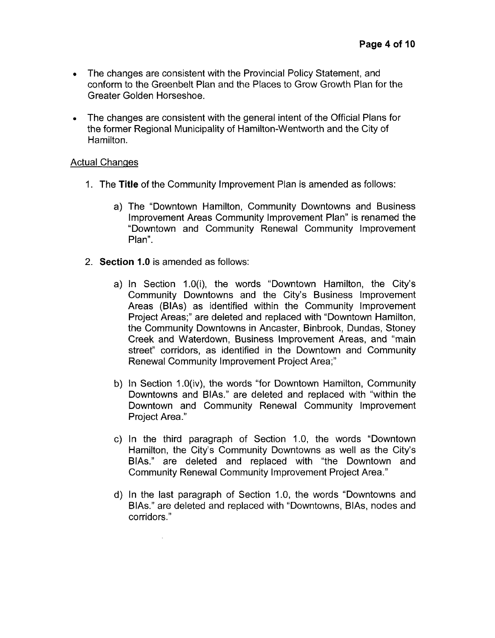- The changes are consistent with the Provincial Policy Statement, and conform to the Greenbelt Plan and the Places to Grow Growth Plan for the Greater Golden Horseshoe.
- *<sup>0</sup>*The changes are consistent with the general intent of the Official Plans for the former Regional Municipality of Hamilton-Wentworth and the City of Hamilton.

## Actual Changes

- 1. The **Title** of the Community Improvement Plan is amended as follows:
	- a) The "Downtown Hamilton, Community Downtowns and Business Improvement Areas Community Improvement Plan" is renamed the "Downtown and Community Renewal Community Improvement Plan".
- 2. **Section 1.0** is amended as follows:

 $\mathcal{L}$ 

- a) In Section 1.0(i), the words "Downtown Hamilton, the City's Community Downtowns and the City's Business Improvement Areas (BIAs) as identified within the Community Improvement Project Areas;" are deleted and replaced with "Downtown Hamilton, the Community Downtowns in Ancaster, Binbrook, Dundas, Stoney Creek and Waterdown, Business Improvement Areas, and "main street" corridors, as identified in the Downtown and Community Renewal Community Improvement Project Area;''
- b) In Section 1.0(iv), the words "for Downtown Hamilton, Community Downtowns and BIAs." are deleted and replaced with "within the Downtown and Community Renewal Community Improvement Project Area."
- c) In the third paragraph of Section 1.0, the words "Downtown Hamilton, the City's Community Downtowns as well as the City's BIAs." are deleted and replaced with "the Downtown and Community Renewal Community Improvement Project Area."
- d) In the last paragraph of Section 1.0, the words "Downtowns and BIAs." are deleted and replaced with "Downtowns, BIAs, nodes and corridors ."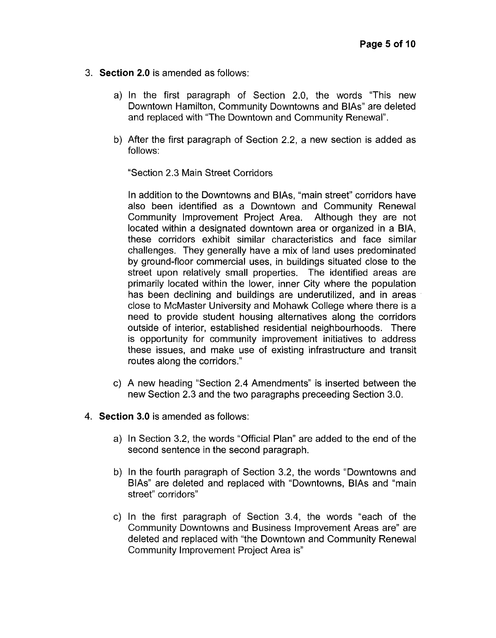- 3. **Section 2.0** is amended as follows:
	- a) In the first paragraph of Section 2.0, the words "This new Downtown Hamilton, Community Downtowns and BIAs" are deleted and replaced with "The Downtown and Community Renewal".
	- b) After the first paragraph of Section 2.2, a new section is added as follows:

"Section 2.3 Main Street Corridors

In addition to the Downtowns and BIAs, "main street" corridors have also been identified as a Downtown and Community Renewal Community Improvement Project Area. Although they are not located within a designated downtown area or organized in a BIA, these corridors exhibit similar characteristics and face similar challenges. They generally have a mix of land uses predominated by ground-floor commercial uses, in buildings situated close to the street upon relatively small properties. The identified areas are primarily located within the lower, inner City where the population has been declining and buildings are underutilized, and in areas close to McMaster University and Mohawk College where there is a need to provide student housing alternatives along the corridors outside of interior, established residential neighbourhoods. There is opportunity for community improvement initiatives to address these issues, and make use of existing infrastructure and transit routes along the corridors."

- c) A new heading "Section 2.4 Amendments'' is inserted between the new Section 2.3 and the two paragraphs preceeding Section 3.0.
- **4. Section 3.0** is amended as follows:
	- a) In Section 3.2, the words "Official Plan" are added to the end of the second sentence in the second paragraph.
	- b) In the fourth paragraph of Section 3.2, the words "Downtowns and BIAs" are deleted and replaced with "Downtowns, BIAS and "main street" corridors"
	- c) In the first paragraph of Section 3.4, the words "each of the Community Downtowns and Business Improvement Areas are" are deleted and replaced with "the Downtown and Community Renewal Community Improvement Project Area is"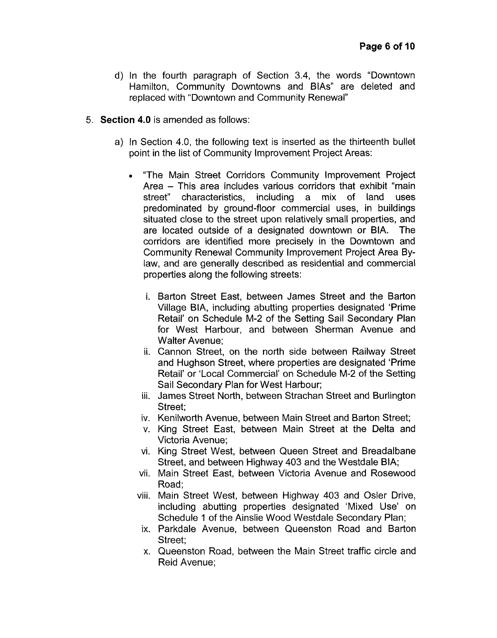- d) In the fourth paragraph of Section 3.4, the words "Downtown Hamilton, Community Downtowns and BIAS" are deleted and replaced with "Downtown and Community Renewal"
- 5. **Section 4.0** is amended as follows:
	- a) In Section 4.0, the following text is inserted as the thirteenth bullet point in the list of Community Improvement Project Areas:
		- *<sup>0</sup>*"The Main Street Corridors Community Improvement Project Area - This area includes various corridors that exhibit "main<br>street" characteristics, including a mix of land uses street" characteristics, including a mix of land predominated by ground-floor commercial uses, in buildings situated close to the street upon relatively small properties, and are located outside of a designated downtown or BIA. The corridors are identified more precisely in the Downtown and Community Renewal Community Improvement Project Area Bylaw, and are generally described as residential and commercial properties along the following streets:
			- i. Barton Street East, between James Street and the Barton Village BIA, including abutting properties designated 'Prime Retail' on Schedule M-2 of the Setting Sail Secondary Plan for West Harbour, and between Sherman Avenue and Walter Avenue;
			- ii. Cannon Street, on the north side between Railway Street and Hughson Street, where properties are designated 'Prime Retail' or 'Local Commercial' on Schedule M-2 of the Setting Sail Secondary Plan for West Harbour;
			- iii. James Street North, between Strachan Street and Burlington Street;
			- iv. Kenilworth Avenue, between Main Street and Barton Street;
			- v. King Street East, between Main Street at the Delta and Victoria Avenue;
			- vi. King Street West, between Queen Street and Breadalbane Street, and between Highway 403 and the Westdale BIA;
			- vii. Main Street East, between Victoria Avenue and Rosewood Road;
			- viii. Main Street West, between Highway 403 and Osler Drive, including abutting properties designated 'Mixed Use' on Schedule 1 of the Ainslie Wood Westdale Secondary Plan;
			- ix. Parkdale Avenue, between Queenston Road and Barton Street:
			- **x.** Queenston Road, between the Main Street traffic circle and Reid Avenue;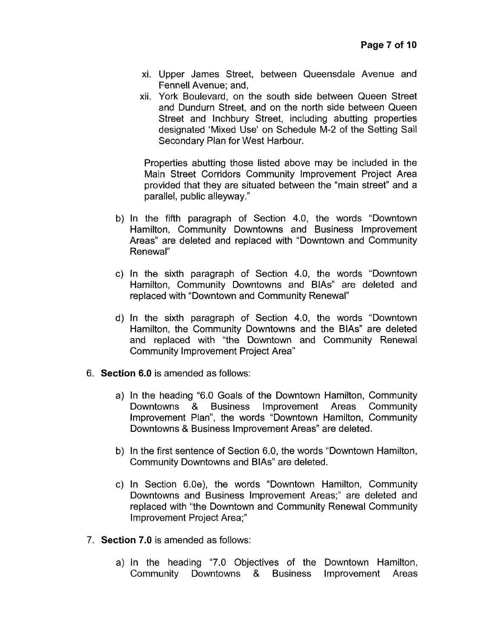- xi. Upper James Street, between Queensdale Avenue and Fennell Avenue; and,
- xii. York Boulevard, on the south side between Queen Street and Dundurn Street, and on the north side between Queen Street and lnchbury Street, including abutting properties designated 'Mixed Use' on Schedule M-2 of the Setting Sail Secondary Plan for West Harbour.

Properties abutting those listed above may be included in the Main Street Corridors Community Improvement Project Area provided that they are situated between the "main street" and a parallel, public alleyway."

- b) In the fifth paragraph of Section 4.0, the words "Downtown Hamilton, Community Downtowns and Business Improvement Areas" are deleted and replaced with "Downtown and Community Renewal"
- c) In the sixth paragraph of Section 4.0, the words "Downtown Hamilton, Community Downtowns and BIAs" are deleted and replaced with "Downtown and Community Renewal"
- d) In the sixth paragraph of Section 4.0, the words "Downtown Hamilton, the Community Downtowns and the BIAs" are deleted and replaced with "the Downtown and Community Renewal Community Improvement Project Area"
- 6. **Section 6.0** is amended as follows:
	- a) In the heading "6.0 Goals of the Downtown Hamilton, Community Downtowns & Business Improvement Areas Community Improvement Plan", the words "Downtown Hamilton, Community Downtowns & Business Improvement Areas" are deleted.
	- b) In the first sentence of Section 6.0, the words "Downtown Hamilton, Community Downtowns and BIAs" are deleted.
	- c) In Section 6.0e), the words "Downtown Hamilton, Community Downtowns and Business Improvement Areas;" are deleted and replaced with "the Downtown and Community Renewal Community Improvement Project Area;"
- 7. **Section 7.0** is amended as follows:
	- a) In the heading "7.0 Objectives of the Downtown Hamilton, Community Downtowns & Business Improvement Areas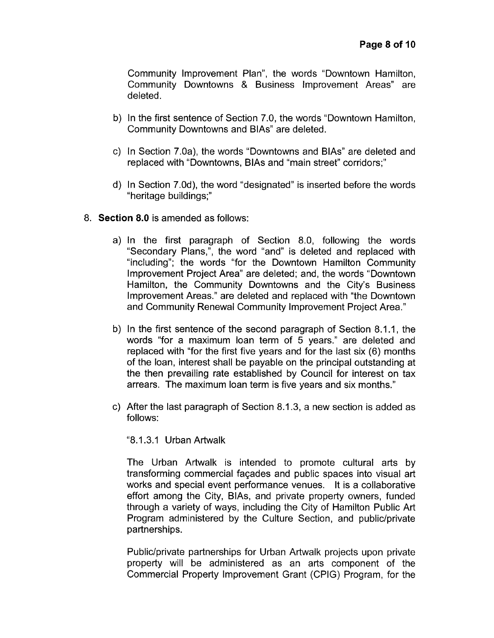Community Improvement Plan", the words "Downtown Hamilton, Community Downtowns & Business Improvement Areas" are deleted.

- b) In the first sentence of Section 7.0, the words "Downtown Hamilton, Community Downtowns and BIAs" are deleted.
- c) In Section 7.0a), the words "Downtowns and BIAs" are deleted and replaced with "Downtowns, BIAS and "main street" corridors;"
- d) In Section 7.0d), the word "designated" is inserted before the words "heritage buildings;"
- 8. **Section 8.0** is amended as follows:
	- a) In the first paragraph of Section 8.0, following the words "Secondary Plans,", the word "and" is deleted and replaced with "including"; the words "for the Downtown Hamilton Community Improvement Project Area" are deleted; and, the words "Downtown Hamilton, the Community Downtowns and the City's Business Improvement Areas." are deleted and replaced with "the Downtown and Community Renewal Community Improvement Project Area."
	- b) In the first sentence of the second paragraph of Section 8.1.1, the words "for a maximum loan term of 5 years." are deleted and replaced with "for the first five years and for the last six (6) months of the loan, interest shall be payable on the principal outstanding at the then prevailing rate established by Council for interest on tax arrears. The maximum loan term is five years and six months."
	- c) After the last paragraph of Section 8.1.3, a new section is added as follows:

"8.1.3.1 Urban Artwalk

The Urban Artwalk is intended to promote cultural arts by transforming commercial faqades and public spaces into visual art works and special event performance venues. It is a collaborative effort among the City, BIAs, and private property owners, funded through a variety of ways, including the City of Hamilton Public Art Program administered by the Culture Section, and public/private partnerships.

Public/private partnerships for Urban Artwalk projects upon private property will be administered as an arts component of the Commercial Property Improvement Grant (CPIG) Program, for the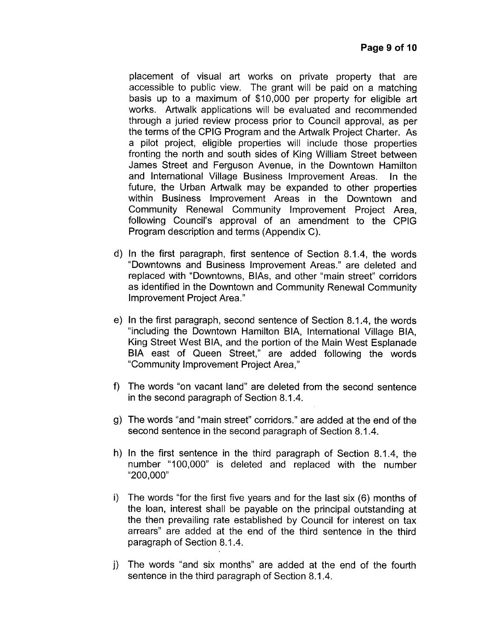placement of visual art works on private property that are accessible to public view. The grant will be paid on a matching basis up to a maximum of \$10,000 per property for eligible art works. Artwalk applications will be evaluated and recommended through a juried review process prior to Council approval, as per the terms of the CPlG Program and the Artwalk Project Charter. As a pilot project, eligible properties will include those properties fronting the north and south sides of King William Street between James Street and Ferguson Avenue, in the Downtown Hamilton and International Village Business Improvement Areas. In the future, the Urban Artwalk may be expanded to other properties within Business Improvement Areas in the Downtown and Community Renewal Community Improvement Project Area, following Council's approval of an amendment to the CPlG Program description and terms (Appendix C).

- d) In the first paragraph, first sentence of Section 8.1.4, the words "Downtowns and Business Improvement Areas." are deleted and replaced with "Downtowns, BIAS, and other "main street" corridors as identified in the Downtown and Community Renewal Community Improvement Project Area."
- e) In the first paragraph, second sentence of Section 8.1.4, the words "including the Downtown Hamilton BIA, International Village BIA, King Street West BIA, and the portion of the Main West Esplanade BIA east of Queen Street," are added following the words "Community Improvement Project Area,"
- f) The words "on vacant land" are deleted from the second sentence in the second paragraph of Section 8.1.4.
- g) The words "and "main street" corridors." are added at the end of the second sentence in the second paragraph of Section 8.1.4.
- h) In the first sentence in the third paragraph of Section 8.1.4, the number "100,000" is deleted and replaced with the number "200,000"
- i) The words "for the first five years and for the last six (6) months of the loan, interest shall be payable on the principal outstanding at the then prevailing rate established by Council for interest on tax arrears" are added at the end of the third sentence in the third paragraph of Section 8.1.4.
- j) The words "and six months" are added at the end of the fourth sentence in the third paragraph of Section 8.1.4.